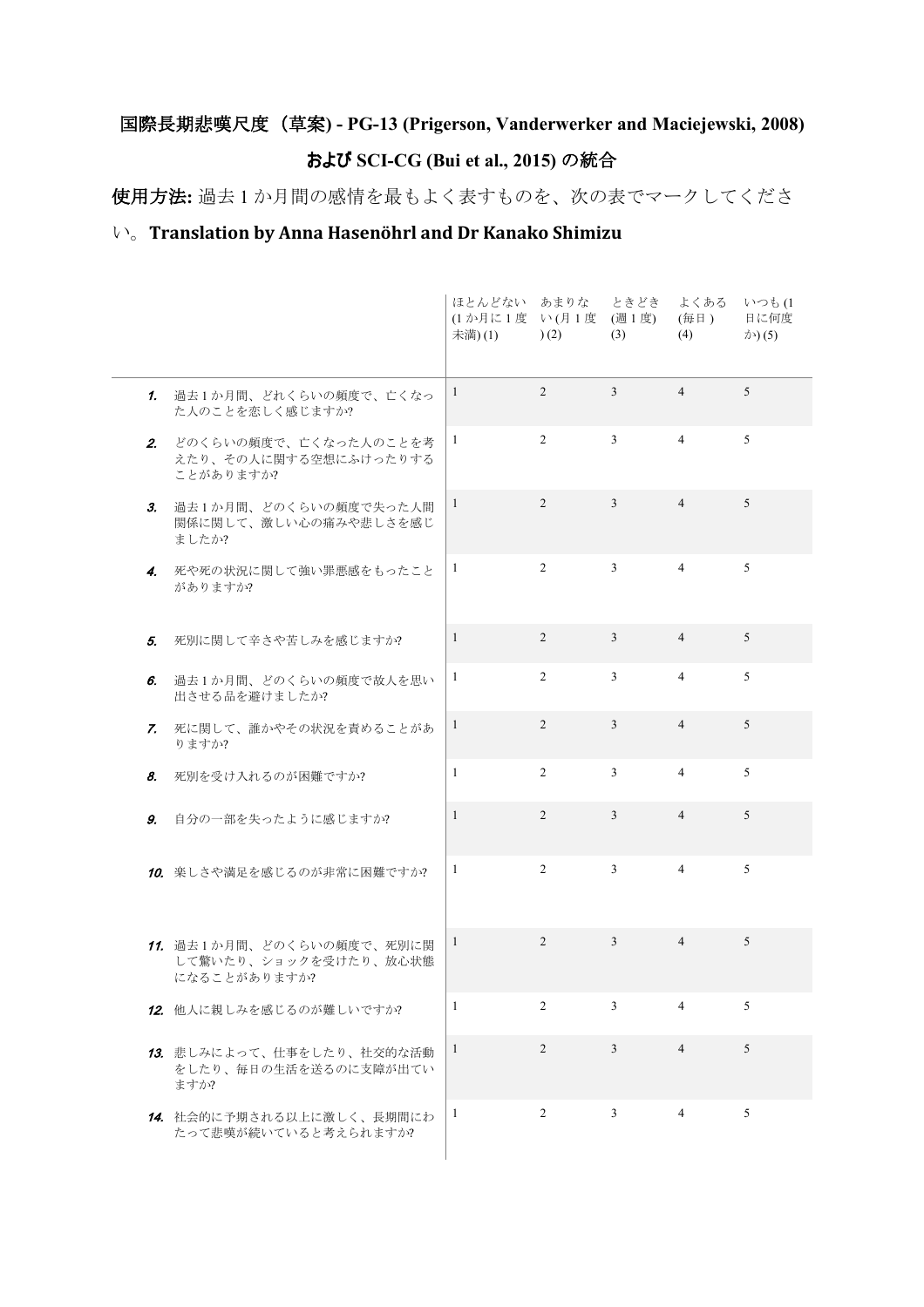## 国際長期悲嘆尺度(草案**) - PG-13 (Prigerson, Vanderwerker and Maciejewski, 2008)**

## および **SCI-CG (Bui et al., 2015)** の統合

使用方法**:** 過去 1 か月間の感情を最もよく表すものを、次の表でマークしてくださ

## い。**Translation by Anna Hasenöhrl and Dr Kanako Shimizu**

|    |                                                                    | ほとんどない あまりな ときどき<br>(1か月に1度 い(月1度 (週1度)<br>未満)(1) | (2)            | (3)            | よくある<br>(毎日)<br>(4) | いつも(1<br>日に何度<br>$\bigtriangleup$ (5) |
|----|--------------------------------------------------------------------|---------------------------------------------------|----------------|----------------|---------------------|---------------------------------------|
|    | 1. 過去1か月間、どれくらいの頻度で、亡くなっ<br>た人のことを恋しく感じますか?                        | 1                                                 | $\overline{2}$ | $\mathfrak{Z}$ | $\overline{4}$      | 5                                     |
|    | 2. どのくらいの頻度で、亡くなった人のことを考<br>えたり、その人に関する空想にふけったりする<br>ことがありますか?     | 1                                                 | $\overline{2}$ | $\mathfrak{Z}$ | $\overline{4}$      | 5                                     |
|    | 3. 過去1か月間、どのくらいの頻度で失った人間<br>関係に関して、激しい心の痛みや悲しさを感じ<br>ましたか?         | $\mathbf{1}$                                      | $\overline{2}$ | $\mathfrak{Z}$ | $\overline{4}$      | 5                                     |
|    | 4. 死や死の状況に関して強い罪悪感をもったこと<br>がありますか?                                | -1                                                | $\overline{2}$ | 3              | $\overline{4}$      | 5                                     |
| 5. | 死別に関して辛さや苦しみを感じますか?                                                | $\mathbf{1}$                                      | $\overline{2}$ | $\mathfrak{Z}$ | $\overline{4}$      | 5                                     |
| 6. | 過去1か月間、どのくらいの頻度で故人を思い<br>出させる品を避けましたか?                             | 1                                                 | $\overline{2}$ | $\mathfrak{Z}$ | $\overline{4}$      | 5                                     |
|    | 7. 死に関して、誰かやその状況を責めることがあ<br>りますか?                                  | 1                                                 | $\overline{2}$ | 3              | $\overline{4}$      | 5                                     |
| 8. | 死別を受け入れるのが困難ですか?                                                   | $\mathbf{1}$                                      | $\overline{2}$ | 3              | $\overline{4}$      | 5                                     |
| 9. | 自分の一部を失ったように感じますか?                                                 | $\mathbf{1}$                                      | $\overline{2}$ | $\mathfrak{Z}$ | $\overline{4}$      | 5                                     |
|    | 10. 楽しさや満足を感じるのが非常に困難ですか?                                          | 1                                                 | $\overline{2}$ | $\mathfrak{Z}$ | $\overline{4}$      | 5                                     |
|    | 11. 過去1か月間、どのくらいの頻度で、死別に関<br>して驚いたり、ショックを受けたり、放心状態<br>になることがありますか? | 1                                                 | $\overline{2}$ | $\mathfrak{Z}$ | $\overline{4}$      | 5                                     |
|    | 12. 他人に親しみを感じるのが難しいですか?                                            | 1                                                 | 2              | 3              | $\overline{4}$      | 5                                     |
|    | 13. 悲しみによって、仕事をしたり、社交的な活動<br>をしたり、毎日の生活を送るのに支障が出てい<br>ますか?         | 1                                                 | $\overline{2}$ | 3              | $\overline{4}$      | 5                                     |
|    | 14. 社会的に予期される以上に激しく、長期間にわ<br>たって悲嘆が続いていると考えられますか?                  | 1                                                 | 2              | 3              | $\overline{4}$      | 5                                     |